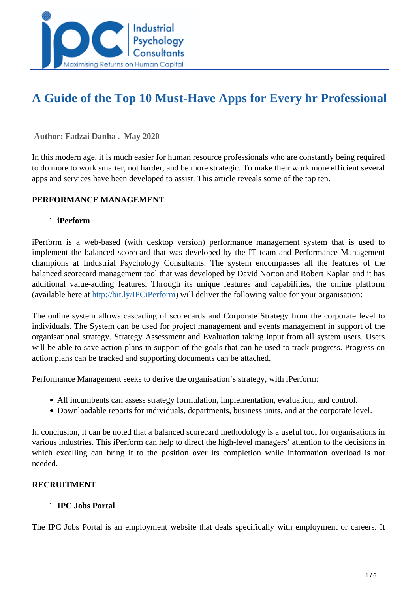

# **A Guide of the Top 10 Must-Have Apps for Every hr Professional**

 **Author: Fadzai Danha . May 2020** 

In this modern age, it is much easier for human resource professionals who are constantly being required to do more to work smarter, not harder, and be more strategic. To make their work more efficient several apps and services have been developed to assist. This article reveals some of the top ten.

#### **PERFORMANCE MANAGEMENT**

#### 1. **iPerform**

iPerform is a web-based (with desktop version) performance management system that is used to implement the balanced scorecard that was developed by the IT team and Performance Management champions at Industrial Psychology Consultants. The system encompasses all the features of the balanced scorecard management tool that was developed by David Norton and Robert Kaplan and it has additional value-adding features. Through its unique features and capabilities, the online platform (available here at <http://bit.ly/IPCiPerform>) will deliver the following value for your organisation:

The online system allows cascading of scorecards and Corporate Strategy from the corporate level to individuals. The System can be used for project management and events management in support of the organisational strategy. Strategy Assessment and Evaluation taking input from all system users. Users will be able to save action plans in support of the goals that can be used to track progress. Progress on action plans can be tracked and supporting documents can be attached.

Performance Management seeks to derive the organisation's strategy, with iPerform:

- All incumbents can assess strategy formulation, implementation, evaluation, and control.
- Downloadable reports for individuals, departments, business units, and at the corporate level.

In conclusion, it can be noted that a balanced scorecard methodology is a useful tool for organisations in various industries. This iPerform can help to direct the high-level managers' attention to the decisions in which excelling can bring it to the position over its completion while information overload is not needed.

#### **RECRUITMENT**

#### 1. **IPC Jobs Portal**

The IPC Jobs Portal is an employment website that deals specifically with employment or careers. It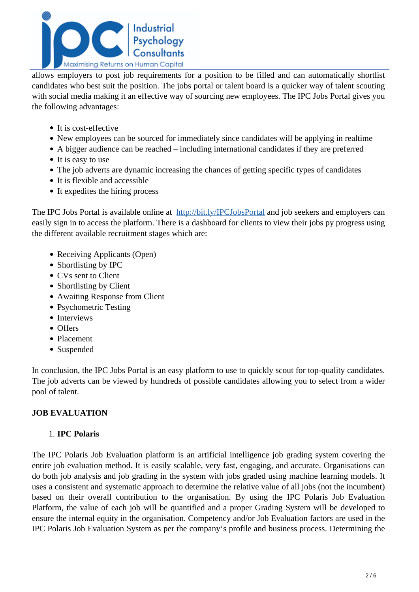

allows employers to post job requirements for a position to be filled and can automatically shortlist candidates who best suit the position. The jobs portal or talent board is a quicker way of talent scouting with social media making it an effective way of sourcing new employees. The IPC Jobs Portal gives you the following advantages:

- It is cost-effective
- New employees can be sourced for immediately since candidates will be applying in realtime
- A bigger audience can be reached including international candidates if they are preferred
- It is easy to use
- The job adverts are dynamic increasing the chances of getting specific types of candidates
- It is flexible and accessible
- It expedites the hiring process

The IPC Jobs Portal is available online at <http://bit.ly/IPCJobsPortal> and job seekers and employers can easily sign in to access the platform. There is a dashboard for clients to view their jobs py progress using the different available recruitment stages which are:

- Receiving Applicants (Open)
- Shortlisting by IPC
- CVs sent to Client
- Shortlisting by Client
- Awaiting Response from Client
- Psychometric Testing
- Interviews
- Offers
- Placement
- Suspended

In conclusion, the IPC Jobs Portal is an easy platform to use to quickly scout for top-quality candidates. The job adverts can be viewed by hundreds of possible candidates allowing you to select from a wider pool of talent.

## **JOB EVALUATION**

#### 1. **IPC Polaris**

The IPC Polaris Job Evaluation platform is an artificial intelligence job grading system covering the entire job evaluation method. It is easily scalable, very fast, engaging, and accurate. Organisations can do both job analysis and job grading in the system with jobs graded using machine learning models. It uses a consistent and systematic approach to determine the relative value of all jobs (not the incumbent) based on their overall contribution to the organisation. By using the IPC Polaris Job Evaluation Platform, the value of each job will be quantified and a proper Grading System will be developed to ensure the internal equity in the organisation. Competency and/or Job Evaluation factors are used in the IPC Polaris Job Evaluation System as per the company's profile and business process. Determining the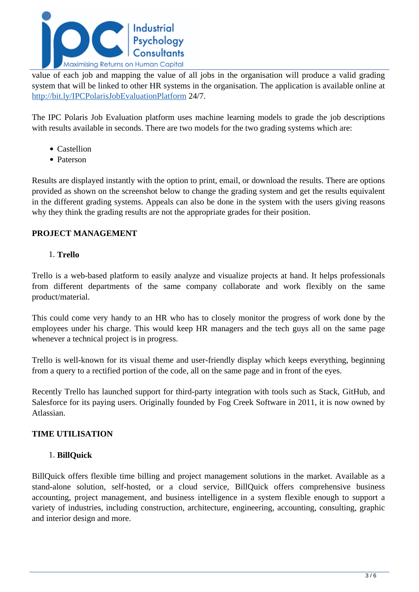

value of each job and mapping the value of all jobs in the organisation will produce a valid grading system that will be linked to other HR systems in the organisation. The application is available online at <http://bit.ly/IPCPolarisJobEvaluationPlatform> 24/7.

The IPC Polaris Job Evaluation platform uses machine learning models to grade the job descriptions with results available in seconds. There are two models for the two grading systems which are:

- Castellion
- Paterson

Results are displayed instantly with the option to print, email, or download the results. There are options provided as shown on the screenshot below to change the grading system and get the results equivalent in the different grading systems. Appeals can also be done in the system with the users giving reasons why they think the grading results are not the appropriate grades for their position.

## **PROJECT MANAGEMENT**

### 1. **Trello**

Trello is a web-based platform to easily analyze and visualize projects at hand. It helps professionals from different departments of the same company collaborate and work flexibly on the same product/material.

This could come very handy to an HR who has to closely monitor the progress of work done by the employees under his charge. This would keep HR managers and the tech guys all on the same page whenever a technical project is in progress.

Trello is well-known for its visual theme and user-friendly display which keeps everything, beginning from a query to a rectified portion of the code, all on the same page and in front of the eyes.

Recently Trello has launched support for third-party integration with tools such as Stack, GitHub, and Salesforce for its paying users. Originally founded by Fog Creek Software in 2011, it is now owned by Atlassian.

## **TIME UTILISATION**

#### 1. **BillQuick**

BillQuick offers flexible time billing and project management solutions in the market. Available as a stand-alone solution, self-hosted, or a cloud service, BillQuick offers comprehensive business accounting, project management, and business intelligence in a system flexible enough to support a variety of industries, including construction, architecture, engineering, accounting, consulting, graphic and interior design and more.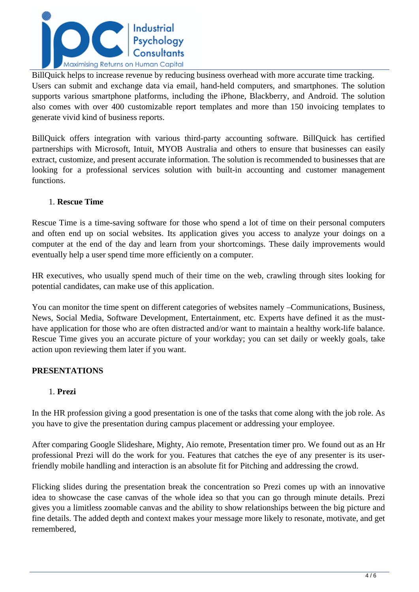

BillQuick helps to increase revenue by reducing business overhead with more accurate time tracking. Users can submit and exchange data via email, hand-held computers, and smartphones. The solution supports various smartphone platforms, including the iPhone, Blackberry, and Android. The solution also comes with over 400 customizable report templates and more than 150 invoicing templates to generate vivid kind of business reports.

BillQuick offers integration with various third-party accounting software. BillQuick has certified partnerships with Microsoft, Intuit, MYOB Australia and others to ensure that businesses can easily extract, customize, and present accurate information. The solution is recommended to businesses that are looking for a professional services solution with built-in accounting and customer management functions.

#### 1. **Rescue Time**

Rescue Time is a time-saving software for those who spend a lot of time on their personal computers and often end up on social websites. Its application gives you access to analyze your doings on a computer at the end of the day and learn from your shortcomings. These daily improvements would eventually help a user spend time more efficiently on a computer.

HR executives, who usually spend much of their time on the web, crawling through sites looking for potential candidates, can make use of this application.

You can monitor the time spent on different categories of websites namely –Communications, Business, News, Social Media, Software Development, Entertainment, etc. Experts have defined it as the musthave application for those who are often distracted and/or want to maintain a healthy work-life balance. Rescue Time gives you an accurate picture of your workday; you can set daily or weekly goals, take action upon reviewing them later if you want.

#### **PRESENTATIONS**

#### 1. **Prezi**

In the HR profession giving a good presentation is one of the tasks that come along with the job role. As you have to give the presentation during campus placement or addressing your employee.

After comparing Google Slideshare, Mighty, Aio remote, Presentation timer pro. We found out as an Hr professional Prezi will do the work for you. Features that catches the eye of any presenter is its userfriendly mobile handling and interaction is an absolute fit for Pitching and addressing the crowd.

Flicking slides during the presentation break the concentration so Prezi comes up with an innovative idea to showcase the case canvas of the whole idea so that you can go through minute details. Prezi gives you a limitless zoomable canvas and the ability to show relationships between the big picture and fine details. The added depth and context makes your message more likely to resonate, motivate, and get remembered,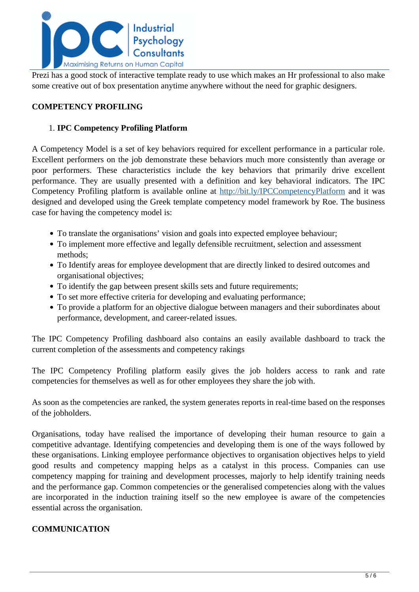

Prezi has a good stock of interactive template ready to use which makes an Hr professional to also make some creative out of box presentation anytime anywhere without the need for graphic designers.

## **COMPETENCY PROFILING**

#### 1. **IPC Competency Profiling Platform**

A Competency Model is a set of key behaviors required for excellent performance in a particular role. Excellent performers on the job demonstrate these behaviors much more consistently than average or poor performers. These characteristics include the key behaviors that primarily drive excellent performance. They are usually presented with a definition and key behavioral indicators. The IPC Competency Profiling platform is available online at <http://bit.ly/IPCCompetencyPlatform>and it was designed and developed using the Greek template competency model framework by Roe. The business case for having the competency model is:

- To translate the organisations' vision and goals into expected employee behaviour;
- To implement more effective and legally defensible recruitment, selection and assessment methods;
- To Identify areas for employee development that are directly linked to desired outcomes and organisational objectives;
- To identify the gap between present skills sets and future requirements;
- To set more effective criteria for developing and evaluating performance;
- To provide a platform for an objective dialogue between managers and their subordinates about performance, development, and career-related issues.

The IPC Competency Profiling dashboard also contains an easily available dashboard to track the current completion of the assessments and competency rakings

The IPC Competency Profiling platform easily gives the job holders access to rank and rate competencies for themselves as well as for other employees they share the job with.

As soon as the competencies are ranked, the system generates reports in real-time based on the responses of the jobholders.

Organisations, today have realised the importance of developing their human resource to gain a competitive advantage. Identifying competencies and developing them is one of the ways followed by these organisations. Linking employee performance objectives to organisation objectives helps to yield good results and competency mapping helps as a catalyst in this process. Companies can use competency mapping for training and development processes, majorly to help identify training needs and the performance gap. Common competencies or the generalised competencies along with the values are incorporated in the induction training itself so the new employee is aware of the competencies essential across the organisation.

## **COMMUNICATION**